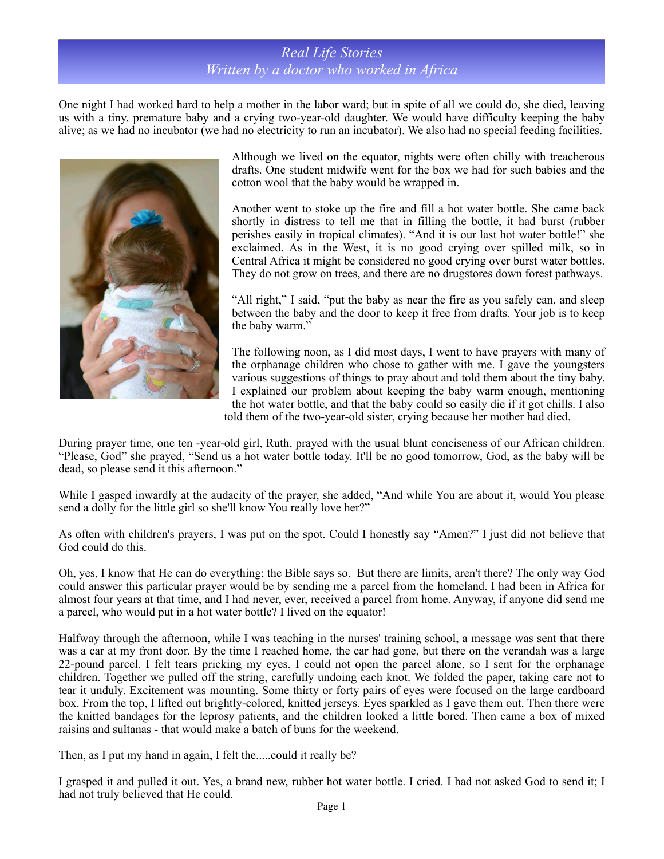## *Real Life Stories Written by a doctor who worked in Africa*

One night I had worked hard to help a mother in the labor ward; but in spite of all we could do, she died, leaving us with a tiny, premature baby and a crying two-year-old daughter. We would have difficulty keeping the baby alive; as we had no incubator (we had no electricity to run an incubator). We also had no special feeding facilities.



Although we lived on the equator, nights were often chilly with treacherous drafts. One student midwife went for the box we had for such babies and the cotton wool that the baby would be wrapped in.

Another went to stoke up the fire and fill a hot water bottle. She came back shortly in distress to tell me that in filling the bottle, it had burst (rubber perishes easily in tropical climates). "And it is our last hot water bottle!" she exclaimed. As in the West, it is no good crying over spilled milk, so in Central Africa it might be considered no good crying over burst water bottles. They do not grow on trees, and there are no drugstores down forest pathways.

"All right," I said, "put the baby as near the fire as you safely can, and sleep between the baby and the door to keep it free from drafts. Your job is to keep the baby warm."

The following noon, as I did most days, I went to have prayers with many of the orphanage children who chose to gather with me. I gave the youngsters various suggestions of things to pray about and told them about the tiny baby. I explained our problem about keeping the baby warm enough, mentioning the hot water bottle, and that the baby could so easily die if it got chills. I also told them of the two-year-old sister, crying because her mother had died.

During prayer time, one ten -year-old girl, Ruth, prayed with the usual blunt conciseness of our African children. "Please, God" she prayed, "Send us a hot water bottle today. It'll be no good tomorrow, God, as the baby will be dead, so please send it this afternoon."

While I gasped inwardly at the audacity of the prayer, she added, "And while You are about it, would You please send a dolly for the little girl so she'll know You really love her?"

As often with children's prayers, I was put on the spot. Could I honestly say "Amen?" I just did not believe that God could do this.

Oh, yes, I know that He can do everything; the Bible says so. But there are limits, aren't there? The only way God could answer this particular prayer would be by sending me a parcel from the homeland. I had been in Africa for almost four years at that time, and I had never, ever, received a parcel from home. Anyway, if anyone did send me a parcel, who would put in a hot water bottle? I lived on the equator!

Halfway through the afternoon, while I was teaching in the nurses' training school, a message was sent that there was a car at my front door. By the time I reached home, the car had gone, but there on the verandah was a large 22-pound parcel. I felt tears pricking my eyes. I could not open the parcel alone, so I sent for the orphanage children. Together we pulled off the string, carefully undoing each knot. We folded the paper, taking care not to tear it unduly. Excitement was mounting. Some thirty or forty pairs of eyes were focused on the large cardboard box. From the top, I lifted out brightly-colored, knitted jerseys. Eyes sparkled as I gave them out. Then there were the knitted bandages for the leprosy patients, and the children looked a little bored. Then came a box of mixed raisins and sultanas - that would make a batch of buns for the weekend.

Then, as I put my hand in again, I felt the.....could it really be?

I grasped it and pulled it out. Yes, a brand new, rubber hot water bottle. I cried. I had not asked God to send it; I had not truly believed that He could.